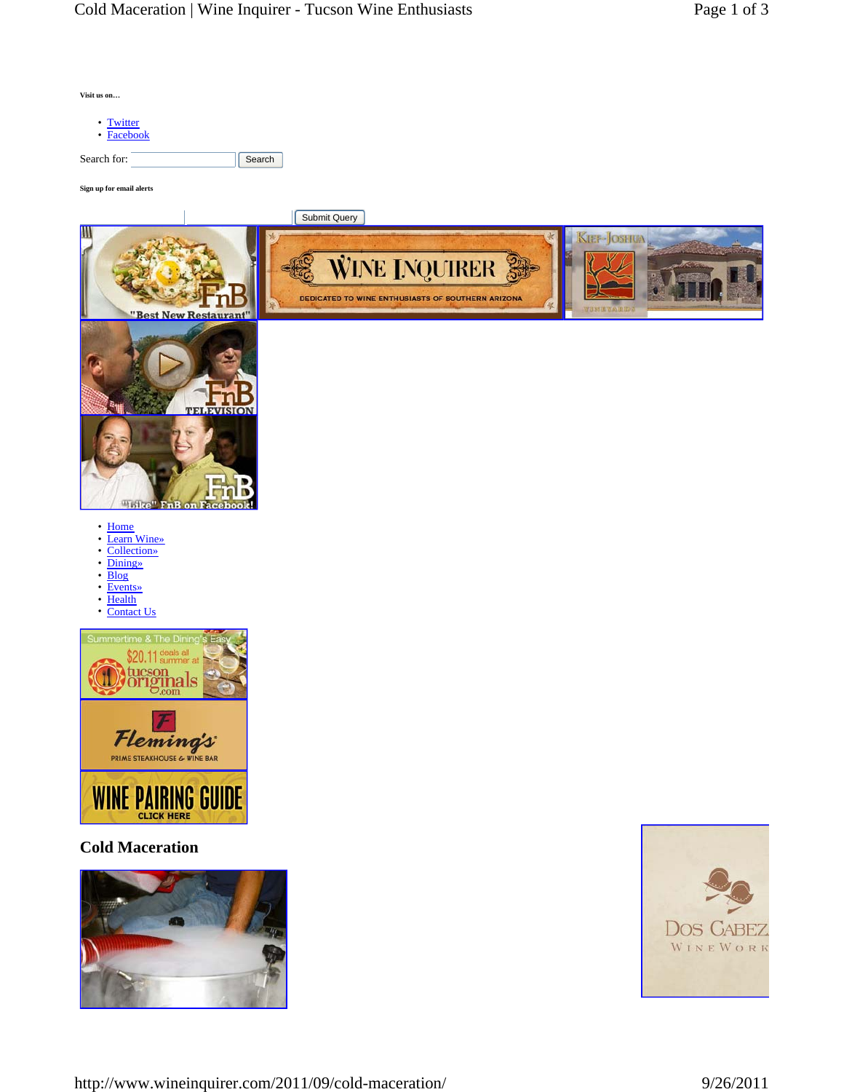| Visit us on                                                                                                                                               |                                                                                                  |                              |  |
|-----------------------------------------------------------------------------------------------------------------------------------------------------------|--------------------------------------------------------------------------------------------------|------------------------------|--|
| • Twitter<br>• Facebook                                                                                                                                   |                                                                                                  |                              |  |
| Search for:                                                                                                                                               | Search                                                                                           |                              |  |
| Sign up for email alerts                                                                                                                                  |                                                                                                  |                              |  |
| "Best New Restauran<br>"Like" FnB on Face                                                                                                                 | <b>Submit Query</b><br><b>WINE INQUIRER</b><br>DEDICATED TO WINE ENTHUSIASTS OF SOUTHERN ARIZONA | <b>JEF-JOSHUA</b>            |  |
| • Home<br>Learn Wine»<br>$\bullet$<br>Collection»<br>٠<br><b>Dining</b> »<br>٠<br><b>Blog</b><br>٠<br><b>Events</b> »<br>٠<br>Health<br>٠<br>• Contact Us |                                                                                                  |                              |  |
| Summertime & The Dinino<br>deals all<br>summer at<br>Б<br>ıa<br>$\cup_{\rm com}$<br>Fleming's                                                             |                                                                                                  |                              |  |
| <b>WINE PAIRING GUIDE</b><br><b>CLICK HERE</b>                                                                                                            |                                                                                                  |                              |  |
| <b>Cold Maceration</b>                                                                                                                                    |                                                                                                  |                              |  |
|                                                                                                                                                           |                                                                                                  | <b>DOS CABEZ</b><br>WINEWORK |  |